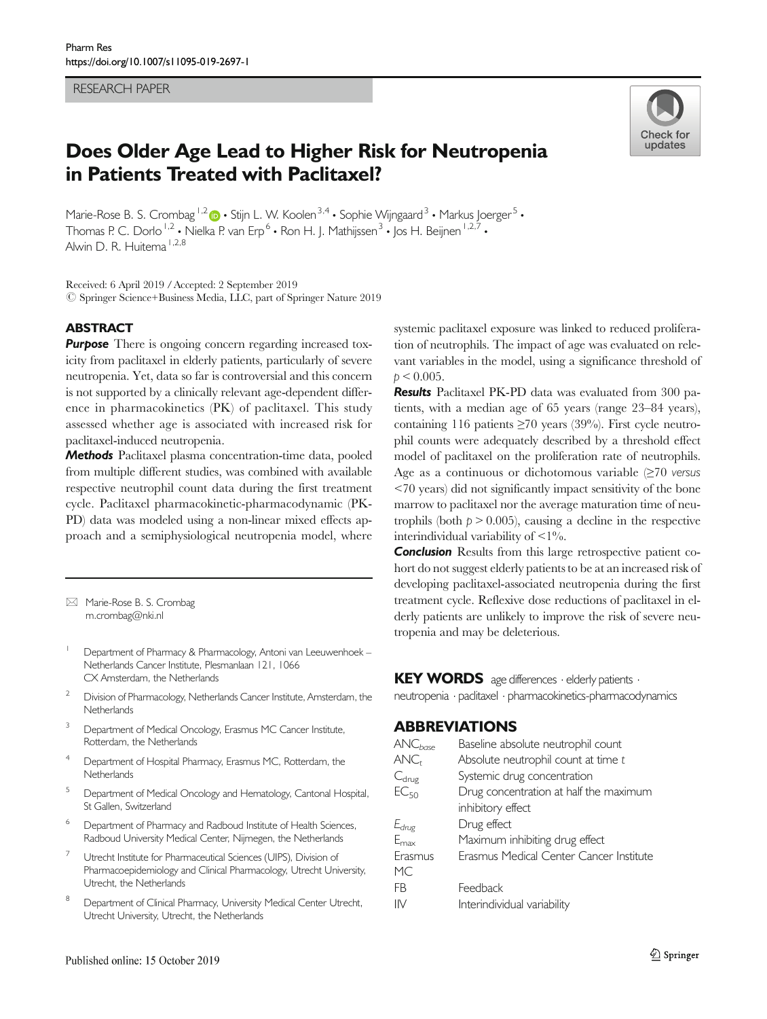#### RESEARCH PAPER

# Does Older Age Lead to Higher Risk for Neutropenia in Patients Treated with Paclitaxel?

Marie-Rose B. S. Crombag  $1,2$   $\bullet$  Stijn L. W. Koolen  $3,4$  • Sophie Wijngaard  $3$  • Markus Joerger  $5$  • Thomas P. C. Dorlo<sup>1,2</sup> • Nielka P. van Erp<sup>6</sup> • Ron H. J. Mathijssen<sup>3</sup> • Jos H. Beijnen <sup>1,2,7</sup> • Alwin D. R. Huitema<sup>1,2,8</sup>

Received: 6 April 2019 /Accepted: 2 September 2019 © Springer Science+Business Media, LLC, part of Springer Nature 2019

#### **ABSTRACT**

**Purpose** There is ongoing concern regarding increased toxicity from paclitaxel in elderly patients, particularly of severe neutropenia. Yet, data so far is controversial and this concern is not supported by a clinically relevant age-dependent difference in pharmacokinetics (PK) of paclitaxel. This study assessed whether age is associated with increased risk for paclitaxel-induced neutropenia.

Methods Paclitaxel plasma concentration-time data, pooled from multiple different studies, was combined with available respective neutrophil count data during the first treatment cycle. Paclitaxel pharmacokinetic-pharmacodynamic (PK-PD) data was modeled using a non-linear mixed effects approach and a semiphysiological neutropenia model, where

- $\boxtimes$  Marie-Rose B. S. Crombag [m.crombag@nki.nl](mailto:m.crombag@nki.nl)
- <sup>1</sup> Department of Pharmacy & Pharmacology, Antoni van Leeuwenhoek Netherlands Cancer Institute, Plesmanlaan 121, 1066 CX Amsterdam, the Netherlands
- <sup>2</sup> Division of Pharmacology, Netherlands Cancer Institute, Amsterdam, the **Netherlands**
- Department of Medical Oncology, Erasmus MC Cancer Institute, Rotterdam, the Netherlands
- Department of Hospital Pharmacy, Erasmus MC, Rotterdam, the **Netherlands**
- <sup>5</sup> Department of Medical Oncology and Hematology, Cantonal Hospital, St Gallen, Switzerland
- <sup>6</sup> Department of Pharmacy and Radboud Institute of Health Sciences, Radboud University Medical Center, Nijmegen, the Netherlands
- Utrecht Institute for Pharmaceutical Sciences (UIPS), Division of Pharmacoepidemiology and Clinical Pharmacology, Utrecht University, Utrecht, the Netherlands
- 8 Department of Clinical Pharmacy, University Medical Center Utrecht, Utrecht University, Utrecht, the Netherlands

systemic paclitaxel exposure was linked to reduced proliferation of neutrophils. The impact of age was evaluated on relevant variables in the model, using a significance threshold of  $p < 0.005$ .

Results Paclitaxel PK-PD data was evaluated from 300 patients, with a median age of 65 years (range 23–84 years), containing 116 patients  $\geq$ 70 years (39%). First cycle neutrophil counts were adequately described by a threshold effect model of paclitaxel on the proliferation rate of neutrophils. Age as a continuous or dichotomous variable  $(≥70$  versus <70 years) did not significantly impact sensitivity of the bone marrow to paclitaxel nor the average maturation time of neutrophils (both  $p > 0.005$ ), causing a decline in the respective interindividual variability of  $\langle 1\% \rangle$ .

**Conclusion** Results from this large retrospective patient cohort do not suggest elderly patients to be at an increased risk of developing paclitaxel-associated neutropenia during the first treatment cycle. Reflexive dose reductions of paclitaxel in elderly patients are unlikely to improve the risk of severe neutropenia and may be deleterious.

#### KEY WORDS age differences · elderly patients .

neutropenia . paclitaxel . pharmacokinetics-pharmacodynamics

#### ABBREVIATIONS

| $\text{ANC}_{\text{base}}$ | Baseline absolute neutrophil count      |
|----------------------------|-----------------------------------------|
| $\text{ANC}_t$             | Absolute neutrophil count at time t     |
| $C_{\text{drug}}$          | Systemic drug concentration             |
| $EC_{50}$                  | Drug concentration at half the maximum  |
|                            | inhibitory effect                       |
| $E_{d\mu g}$               | Drug effect                             |
| $E_{\text{max}}$           | Maximum inhibiting drug effect          |
| Erasmus                    | Erasmus Medical Center Cancer Institute |
| МC                         |                                         |
| FB                         | Feedback                                |
| IIV                        | Interindividual variability             |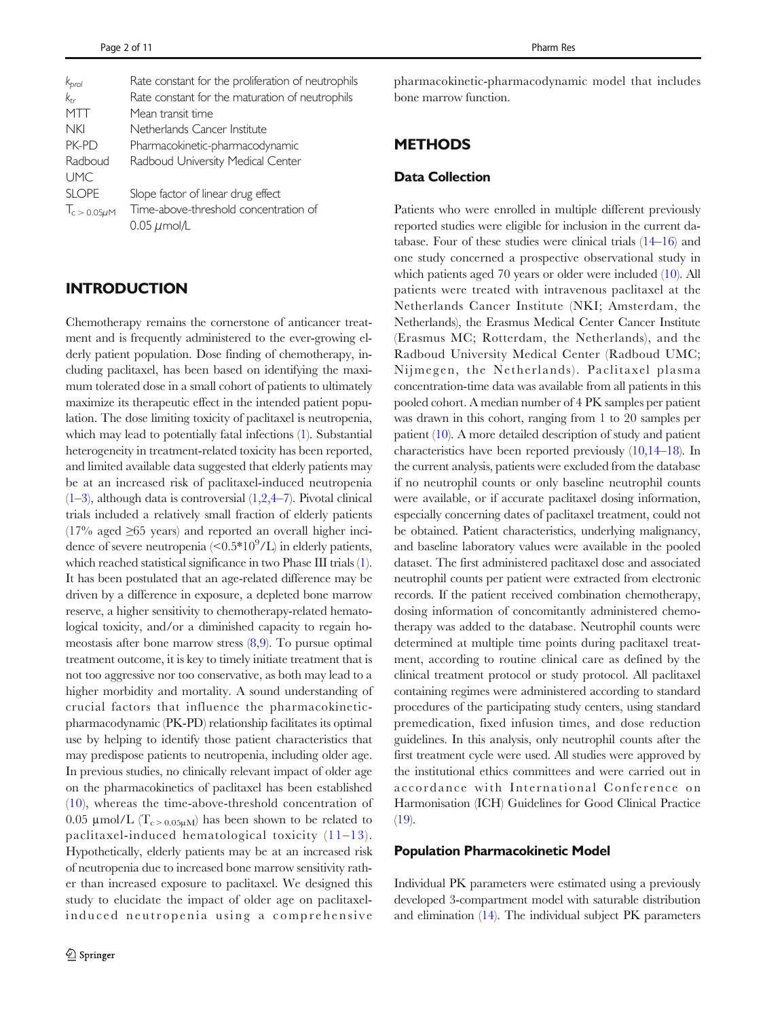| K <sub>prol</sub>  | Rate constant for the proliferation of neutrophils |
|--------------------|----------------------------------------------------|
| $k_{tr}$           | Rate constant for the maturation of neutrophils    |
| MTT                | Mean transit time                                  |
| NKI                | Netherlands Cancer Institute                       |
| PK-PD              | Pharmacokinetic-pharmacodynamic                    |
| Radboud            | Radboud University Medical Center                  |
| <b>UMC</b>         |                                                    |
| <b>SLOPE</b>       | Slope factor of linear drug effect                 |
| $T_c > 0.05 \mu M$ | Time-above-threshold concentration of              |
|                    | $0.05 \mu$ mol/L                                   |

## INTRODUCTION

Chemotherapy remains the cornerstone of anticancer treatment and is frequently administered to the ever-growing elderly patient population. Dose finding of chemotherapy, including paclitaxel, has been based on identifying the maximum tolerated dose in a small cohort of patients to ultimately maximize its therapeutic effect in the intended patient population. The dose limiting toxicity of paclitaxel is neutropenia, which may lead to potentially fatal infections [\(1](#page-9-0)). Substantial heterogeneity in treatment-related toxicity has been reported, and limited available data suggested that elderly patients may be at an increased risk of paclitaxel-induced neutropenia  $(1-3)$  $(1-3)$  $(1-3)$ , although data is controversial  $(1,2,4-7)$  $(1,2,4-7)$  $(1,2,4-7)$  $(1,2,4-7)$  $(1,2,4-7)$  $(1,2,4-7)$ . Pivotal clinical trials included a relatively small fraction of elderly patients  $(17\%$  aged  $\geq 65$  years) and reported an overall higher incidence of severe neutropenia (< $0.5*10^9$ /L) in elderly patients, which reached statistical significance in two Phase III trials [\(1](#page-9-0)). It has been postulated that an age-related difference may be driven by a difference in exposure, a depleted bone marrow reserve, a higher sensitivity to chemotherapy-related hematological toxicity, and/or a diminished capacity to regain homeostasis after bone marrow stress  $(8,9)$  $(8,9)$  $(8,9)$  $(8,9)$ . To pursue optimal treatment outcome, it is key to timely initiate treatment that is not too aggressive nor too conservative, as both may lead to a higher morbidity and mortality. A sound understanding of crucial factors that influence the pharmacokineticpharmacodynamic (PK-PD) relationship facilitates its optimal use by helping to identify those patient characteristics that may predispose patients to neutropenia, including older age. In previous studies, no clinically relevant impact of older age on the pharmacokinetics of paclitaxel has been established ([10\)](#page-9-0), whereas the time-above-threshold concentration of 0.05  $\mu$ mol/L (T<sub>c > 0.05 $\mu$ M) has been shown to be related to</sub> paclitaxel-induced hematological toxicity ([11](#page-9-0)–[13](#page-9-0)). Hypothetically, elderly patients may be at an increased risk of neutropenia due to increased bone marrow sensitivity rather than increased exposure to paclitaxel. We designed this study to elucidate the impact of older age on paclitaxelinduced neutropenia using a comprehensive pharmacokinetic-pharmacodynamic model that includes bone marrow function.

## METHODS

## Data Collection

Patients who were enrolled in multiple different previously reported studies were eligible for inclusion in the current database. Four of these studies were clinical trials [\(14](#page-9-0)–[16\)](#page-9-0) and one study concerned a prospective observational study in which patients aged 70 years or older were included ([10\)](#page-9-0). All patients were treated with intravenous paclitaxel at the Netherlands Cancer Institute (NKI; Amsterdam, the Netherlands), the Erasmus Medical Center Cancer Institute (Erasmus MC; Rotterdam, the Netherlands), and the Radboud University Medical Center (Radboud UMC; Nijmegen, the Netherlands). Paclitaxel plasma concentration-time data was available from all patients in this pooled cohort. A median number of 4 PK samples per patient was drawn in this cohort, ranging from 1 to 20 samples per patient [\(10\)](#page-9-0). A more detailed description of study and patient characteristics have been reported previously ([10,14](#page-9-0)–[18](#page-9-0)). In the current analysis, patients were excluded from the database if no neutrophil counts or only baseline neutrophil counts were available, or if accurate paclitaxel dosing information, especially concerning dates of paclitaxel treatment, could not be obtained. Patient characteristics, underlying malignancy, and baseline laboratory values were available in the pooled dataset. The first administered paclitaxel dose and associated neutrophil counts per patient were extracted from electronic records. If the patient received combination chemotherapy, dosing information of concomitantly administered chemotherapy was added to the database. Neutrophil counts were determined at multiple time points during paclitaxel treatment, according to routine clinical care as defined by the clinical treatment protocol or study protocol. All paclitaxel containing regimes were administered according to standard procedures of the participating study centers, using standard premedication, fixed infusion times, and dose reduction guidelines. In this analysis, only neutrophil counts after the first treatment cycle were used. All studies were approved by the institutional ethics committees and were carried out in accordance with International Conference on Harmonisation (ICH) Guidelines for Good Clinical Practice  $(19)$  $(19)$ .

#### Population Pharmacokinetic Model

Individual PK parameters were estimated using a previously developed 3-compartment model with saturable distribution and elimination [\(14\)](#page-9-0). The individual subject PK parameters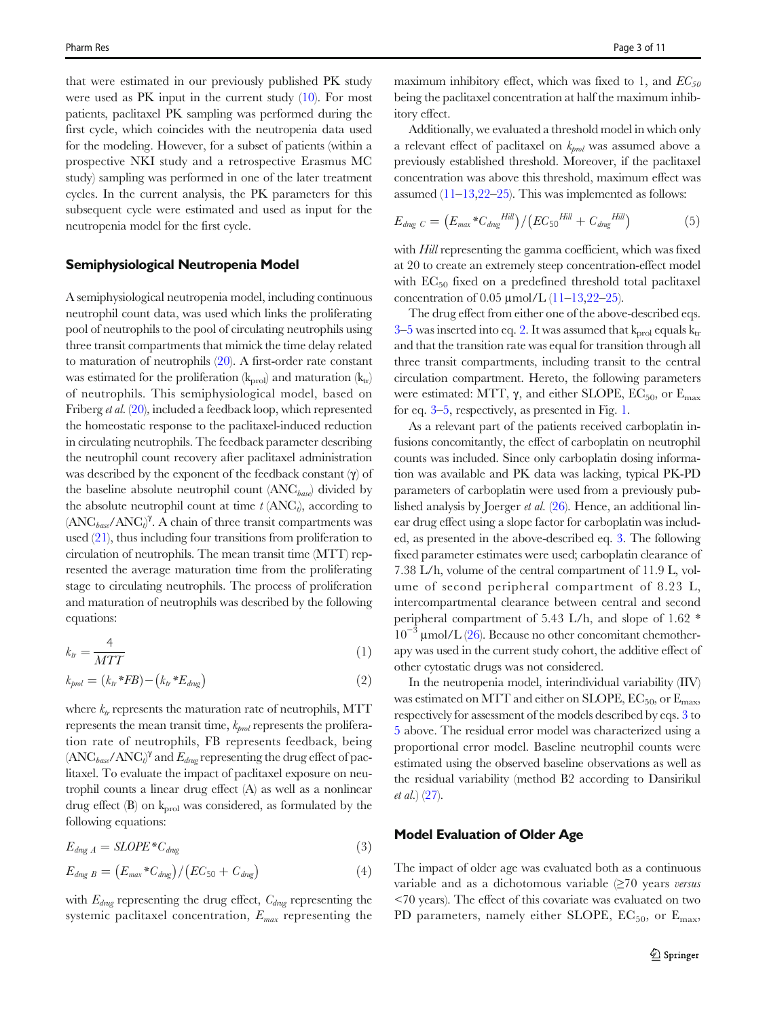that were estimated in our previously published PK study were used as PK input in the current study [\(10](#page-9-0)). For most patients, paclitaxel PK sampling was performed during the first cycle, which coincides with the neutropenia data used for the modeling. However, for a subset of patients (within a prospective NKI study and a retrospective Erasmus MC study) sampling was performed in one of the later treatment cycles. In the current analysis, the PK parameters for this subsequent cycle were estimated and used as input for the neutropenia model for the first cycle.

#### Semiphysiological Neutropenia Model

A semiphysiological neutropenia model, including continuous neutrophil count data, was used which links the proliferating pool of neutrophils to the pool of circulating neutrophils using three transit compartments that mimick the time delay related to maturation of neutrophils  $(20)$  $(20)$  $(20)$ . A first-order rate constant was estimated for the proliferation  $(k_{\text{prol}})$  and maturation  $(k_{\text{tr}})$ of neutrophils. This semiphysiological model, based on Friberg et al. [\(20\)](#page-10-0), included a feedback loop, which represented the homeostatic response to the paclitaxel-induced reduction in circulating neutrophils. The feedback parameter describing the neutrophil count recovery after paclitaxel administration was described by the exponent of the feedback constant  $(\gamma)$  of the baseline absolute neutrophil count  $(ANC_{base})$  divided by the absolute neutrophil count at time  $t$  (ANC<sub>t</sub>), according to  $(ANC_{\text{base}} / ANC_i)^{\gamma}$ . A chain of three transit compartments was used [\(21](#page-10-0)), thus including four transitions from proliferation to circulation of neutrophils. The mean transit time (MTT) represented the average maturation time from the proliferating stage to circulating neutrophils. The process of proliferation and maturation of neutrophils was described by the following equations:

$$
k_{tr} = \frac{4}{MTT} \tag{1}
$$

$$
k_{\text{prol}} = (k_{\text{tr}} * FB) - (k_{\text{tr}} * E_{\text{drag}})
$$
\n
$$
\tag{2}
$$

where  $k_t$  represents the maturation rate of neutrophils, MTT represents the mean transit time,  $k_{\text{prol}}$  represents the proliferation rate of neutrophils, FB represents feedback, being  $\left(\text{ANC}_{\text{base}}/\text{ANC}_v\right)^{\gamma}$  and  $E_{\text{drag}}$  representing the drug effect of paclitaxel. To evaluate the impact of paclitaxel exposure on neutrophil counts a linear drug effect (A) as well as a nonlinear drug effect  $(B)$  on  $k_{\text{prod}}$  was considered, as formulated by the following equations:

$$
E_{\text{drag }A} = \text{SLOPE*}C_{\text{drag}} \tag{3}
$$

$$
E_{\text{drag }B} = \left(E_{\text{max}} \cdot C_{\text{drag}}\right) / \left(EC_{50} + C_{\text{drag}}\right) \tag{4}
$$

with  $E_{\text{drug}}$  representing the drug effect,  $C_{\text{drug}}$  representing the systemic paclitaxel concentration,  $E_{max}$  representing the maximum inhibitory effect, which was fixed to 1, and  $EC_{50}$ being the paclitaxel concentration at half the maximum inhibitory effect.

Additionally, we evaluated a threshold model in which only a relevant effect of paclitaxel on  $k_{prol}$  was assumed above a previously established threshold. Moreover, if the paclitaxel concentration was above this threshold, maximum effect was assumed  $(11-13,22-25)$  $(11-13,22-25)$  $(11-13,22-25)$  $(11-13,22-25)$  $(11-13,22-25)$  $(11-13,22-25)$ . This was implemented as follows:

$$
E_{\text{drag }C} = \left(E_{\text{max}} \cdot C_{\text{drag}} \cdot H\text{,}}\right) / \left(EC_{50} \cdot H\text{,}} + C_{\text{drag}} \cdot H\text{,}}\right) \tag{5}
$$

with *Hill* representing the gamma coefficient, which was fixed at 20 to create an extremely steep concentration-effect model with  $EC_{50}$  fixed on a predefined threshold total paclitaxel concentration of 0.05  $\mu$ mol/L ([11](#page-9-0)–[13](#page-9-0),[22](#page-10-0)–[25](#page-10-0)).

The drug effect from either one of the above-described eqs.  $3-5$  was inserted into eq. 2. It was assumed that  $k_{\text{prol}}$  equals  $k_{\text{tr}}$ and that the transition rate was equal for transition through all three transit compartments, including transit to the central circulation compartment. Hereto, the following parameters were estimated: MTT,  $\gamma$ , and either SLOPE, EC<sub>50</sub>, or E<sub>max</sub> for eq. 3–5, respectively, as presented in Fig. [1](#page-3-0).

As a relevant part of the patients received carboplatin infusions concomitantly, the effect of carboplatin on neutrophil counts was included. Since only carboplatin dosing information was available and PK data was lacking, typical PK-PD parameters of carboplatin were used from a previously published analysis by Joerger et al. ([26\)](#page-10-0). Hence, an additional linear drug effect using a slope factor for carboplatin was included, as presented in the above-described eq. 3. The following fixed parameter estimates were used; carboplatin clearance of 7.38 L/h, volume of the central compartment of 11.9 L, volume of second peripheral compartment of 8.23 L, intercompartmental clearance between central and second peripheral compartment of 5.43 L/h, and slope of 1.62 \*  $10^{-3}$  µmol/L ([26\)](#page-10-0). Because no other concomitant chemotherapy was used in the current study cohort, the additive effect of other cytostatic drugs was not considered.

In the neutropenia model, interindividual variability (IIV) was estimated on MTT and either on SLOPE,  $EC_{50}$ , or  $E_{\text{max}}$ , respectively for assessment of the models described by eqs. 3 to 5 above. The residual error model was characterized using a proportional error model. Baseline neutrophil counts were estimated using the observed baseline observations as well as the residual variability (method B2 according to Dansirikul et al.) [\(27\)](#page-10-0).

#### Model Evaluation of Older Age

The impact of older age was evaluated both as a continuous variable and as a dichotomous variable  $(\geq 70)$  years versus <70 years). The effect of this covariate was evaluated on two PD parameters, namely either SLOPE,  $EC_{50}$ , or  $E_{\text{max}}$ ,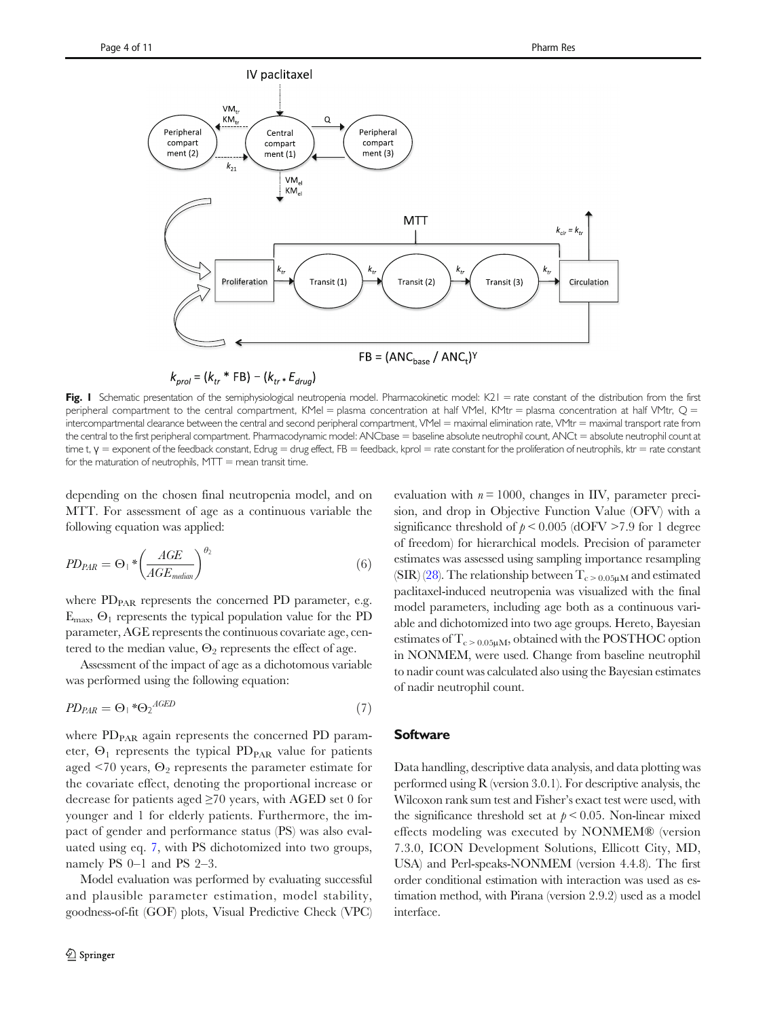<span id="page-3-0"></span>

Fig. I Schematic presentation of the semiphysiological neutropenia model. Pharmacokinetic model: K21 = rate constant of the distribution from the first peripheral compartment to the central compartment, KMel = plasma concentration at half VMel, KMtr = plasma concentration at half VMtr,  $Q =$ intercompartmental clearance between the central and second peripheral compartment, VMel = maximal elimination rate, VMtr = maximal transport rate from the central to the first peripheral compartment. Pharmacodynamic model: ANCbase = baseline absolute neutrophil count, ANCt = absolute neutrophil count at time t, γ = exponent of the feedback constant, Edrug = drug effect, FB = feedback, kprol = rate constant for the proliferation of neutrophils, ktr = rate constant for the maturation of neutrophils,  $MTT$  = mean transit time.

depending on the chosen final neutropenia model, and on MTT. For assessment of age as a continuous variable the following equation was applied:

$$
PD_{PAR} = \Theta_{\perp} * \left(\frac{AGE}{AGE_{median}}\right)^{\theta_2} \tag{6}
$$

where  $PD_{PAR}$  represents the concerned PD parameter, e.g.  $E_{\text{max}}$ ,  $\Theta_1$  represents the typical population value for the PD parameter, AGE represents the continuous covariate age, centered to the median value,  $\Theta_2$  represents the effect of age.

Assessment of the impact of age as a dichotomous variable was performed using the following equation:

$$
PD_{PAR} = \Theta_1 * \Theta_2{}^{AGED} \tag{7}
$$

where  $PD_{PAR}$  again represents the concerned PD parameter,  $\Theta_1$  represents the typical PD<sub>PAR</sub> value for patients aged  $\leq 70$  years,  $\Theta_2$  represents the parameter estimate for the covariate effect, denoting the proportional increase or decrease for patients aged ≥70 years, with AGED set 0 for younger and 1 for elderly patients. Furthermore, the impact of gender and performance status (PS) was also evaluated using eq. 7, with PS dichotomized into two groups, namely PS 0–1 and PS 2–3.

Model evaluation was performed by evaluating successful and plausible parameter estimation, model stability, goodness-of-fit (GOF) plots, Visual Predictive Check (VPC) evaluation with  $n = 1000$ , changes in IIV, parameter precision, and drop in Objective Function Value (OFV) with a significance threshold of  $p < 0.005$  (dOFV >7.9 for 1 degree of freedom) for hierarchical models. Precision of parameter estimates was assessed using sampling importance resampling  $(SIR)$  ([28](#page-10-0)). The relationship between  $T_{c > 0.05\mu M}$  and estimated paclitaxel-induced neutropenia was visualized with the final model parameters, including age both as a continuous variable and dichotomized into two age groups. Hereto, Bayesian estimates of  $T_{c > 0.05\mu\text{M}}$ , obtained with the POSTHOC option in NONMEM, were used. Change from baseline neutrophil to nadir count was calculated also using the Bayesian estimates of nadir neutrophil count.

#### **Software**

Data handling, descriptive data analysis, and data plotting was performed using R (version 3.0.1). For descriptive analysis, the Wilcoxon rank sum test and Fisher's exact test were used, with the significance threshold set at  $p < 0.05$ . Non-linear mixed effects modeling was executed by NONMEM® (version 7.3.0, ICON Development Solutions, Ellicott City, MD, USA) and Perl-speaks-NONMEM (version 4.4.8). The first order conditional estimation with interaction was used as estimation method, with Pirana (version 2.9.2) used as a model interface.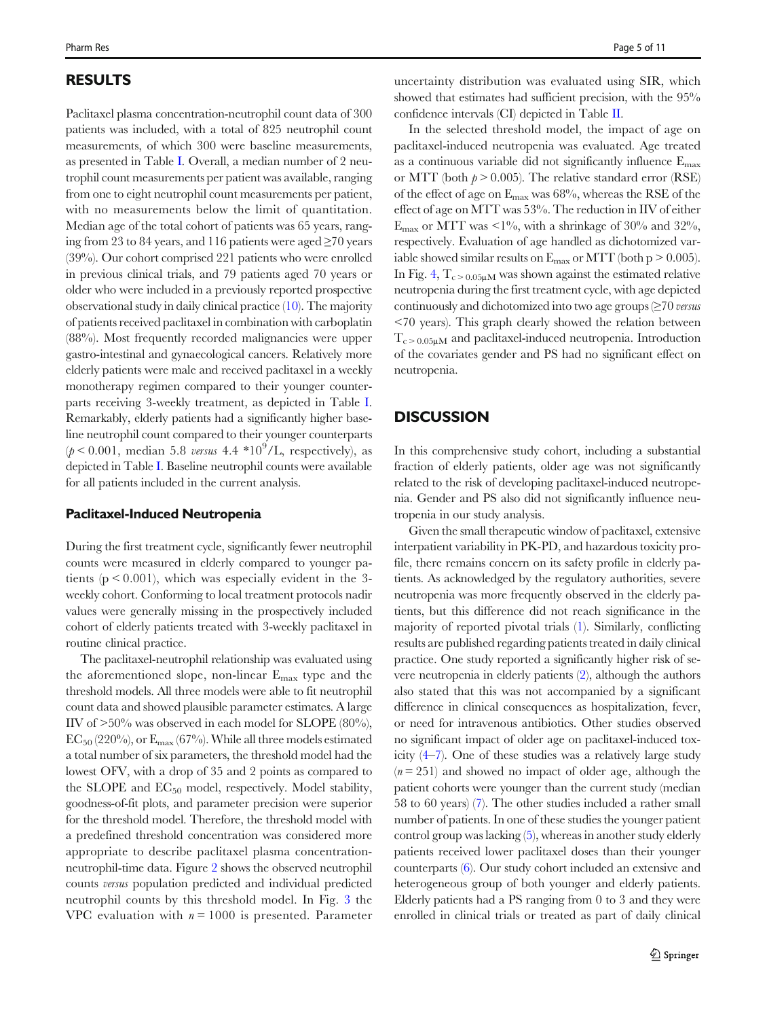## RESULTS

Paclitaxel plasma concentration-neutrophil count data of 300 patients was included, with a total of 825 neutrophil count measurements, of which 300 were baseline measurements, as presented in Table [I](#page-5-0). Overall, a median number of 2 neutrophil count measurements per patient was available, ranging from one to eight neutrophil count measurements per patient, with no measurements below the limit of quantitation. Median age of the total cohort of patients was 65 years, ranging from 23 to 84 years, and 116 patients were aged ≥70 years (39%). Our cohort comprised 221 patients who were enrolled in previous clinical trials, and 79 patients aged 70 years or older who were included in a previously reported prospective observational study in daily clinical practice ([10](#page-9-0)). The majority of patients received paclitaxel in combination with carboplatin (88%). Most frequently recorded malignancies were upper gastro-intestinal and gynaecological cancers. Relatively more elderly patients were male and received paclitaxel in a weekly monotherapy regimen compared to their younger counterparts receiving 3-weekly treatment, as depicted in Table [I.](#page-5-0) Remarkably, elderly patients had a significantly higher baseline neutrophil count compared to their younger counterparts  $(p < 0.001$ , median 5.8 versus 4.4 \*10<sup>9</sup>/L, respectively), as depicted in Table [I.](#page-5-0) Baseline neutrophil counts were available for all patients included in the current analysis.

#### Paclitaxel-Induced Neutropenia

During the first treatment cycle, significantly fewer neutrophil counts were measured in elderly compared to younger patients  $(p < 0.001)$ , which was especially evident in the 3weekly cohort. Conforming to local treatment protocols nadir values were generally missing in the prospectively included cohort of elderly patients treated with 3-weekly paclitaxel in routine clinical practice.

The paclitaxel-neutrophil relationship was evaluated using the aforementioned slope, non-linear  $E_{\text{max}}$  type and the threshold models. All three models were able to fit neutrophil count data and showed plausible parameter estimates. A large IIV of >50% was observed in each model for SLOPE (80%),  $EC_{50}$  (220%), or  $E_{\text{max}}$  (67%). While all three models estimated a total number of six parameters, the threshold model had the lowest OFV, with a drop of 35 and 2 points as compared to the SLOPE and  $EC_{50}$  model, respectively. Model stability, goodness-of-fit plots, and parameter precision were superior for the threshold model. Therefore, the threshold model with a predefined threshold concentration was considered more appropriate to describe paclitaxel plasma concentrationneutrophil-time data. Figure [2](#page-6-0) shows the observed neutrophil counts versus population predicted and individual predicted neutrophil counts by this threshold model. In Fig. [3](#page-7-0) the VPC evaluation with  $n = 1000$  is presented. Parameter

uncertainty distribution was evaluated using SIR, which showed that estimates had sufficient precision, with the  $95\%$ confidence intervals (CI) depicted in Table [II.](#page-7-0)

In the selected threshold model, the impact of age on paclitaxel-induced neutropenia was evaluated. Age treated as a continuous variable did not significantly influence  $E_{\text{max}}$ or MTT (both  $p > 0.005$ ). The relative standard error (RSE) of the effect of age on  $E_{\text{max}}$  was 68%, whereas the RSE of the effect of age on MTT was 53%. The reduction in IIV of either  $E_{\text{max}}$  or MTT was <1%, with a shrinkage of 30% and 32%, respectively. Evaluation of age handled as dichotomized variable showed similar results on  $E_{\text{max}}$  or MTT (both p > 0.005). In Fig. [4](#page-8-0),  $T_{c>0.05\mu M}$  was shown against the estimated relative neutropenia during the first treatment cycle, with age depicted continuously and dichotomized into two age groups  $\geq 70$  versus <70 years). This graph clearly showed the relation between  $T_{c>0.05\mu M}$  and paclitaxel-induced neutropenia. Introduction of the covariates gender and PS had no significant effect on neutropenia.

## **DISCUSSION**

In this comprehensive study cohort, including a substantial fraction of elderly patients, older age was not significantly related to the risk of developing paclitaxel-induced neutropenia. Gender and PS also did not significantly influence neutropenia in our study analysis.

Given the small therapeutic window of paclitaxel, extensive interpatient variability in PK-PD, and hazardous toxicity profile, there remains concern on its safety profile in elderly patients. As acknowledged by the regulatory authorities, severe neutropenia was more frequently observed in the elderly patients, but this difference did not reach significance in the majority of reported pivotal trials [\(1\)](#page-9-0). Similarly, conflicting results are published regarding patients treated in daily clinical practice. One study reported a significantly higher risk of severe neutropenia in elderly patients [\(2](#page-9-0)), although the authors also stated that this was not accompanied by a significant difference in clinical consequences as hospitalization, fever, or need for intravenous antibiotics. Other studies observed no significant impact of older age on paclitaxel-induced toxicity [\(4](#page-9-0)–[7\)](#page-9-0). One of these studies was a relatively large study  $(n = 251)$  and showed no impact of older age, although the patient cohorts were younger than the current study (median 58 to 60 years) ([7](#page-9-0)). The other studies included a rather small number of patients. In one of these studies the younger patient control group was lacking ([5\)](#page-9-0), whereas in another study elderly patients received lower paclitaxel doses than their younger counterparts [\(6\)](#page-9-0). Our study cohort included an extensive and heterogeneous group of both younger and elderly patients. Elderly patients had a PS ranging from 0 to 3 and they were enrolled in clinical trials or treated as part of daily clinical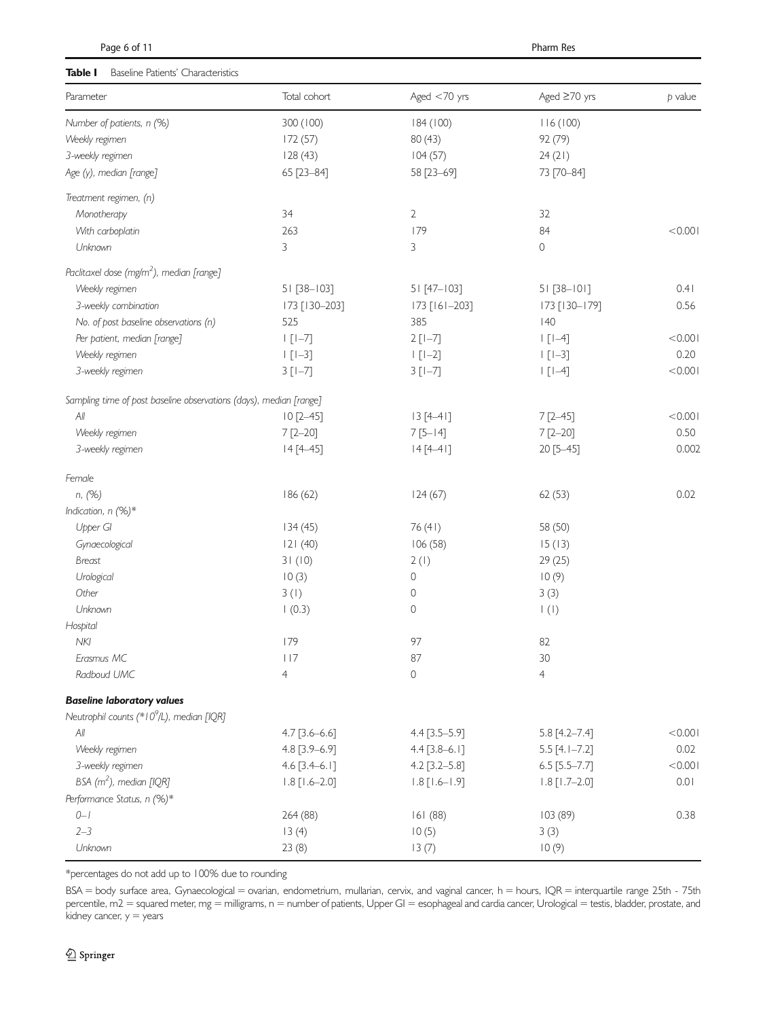<span id="page-5-0"></span>

| Table I<br>Baseline Patients' Characteristics                      |                   |                   |                     |           |  |
|--------------------------------------------------------------------|-------------------|-------------------|---------------------|-----------|--|
| Parameter                                                          | Total cohort      | Aged $<$ 70 yrs   | Aged ≥70 yrs        | $p$ value |  |
| Number of patients, n (%)                                          | 300 (100)         | 184 (100)         | 116(100)            |           |  |
| Weekly regimen                                                     | 172(57)           | 80 (43)           | 92 (79)             |           |  |
| 3-weekly regimen                                                   | 128(43)           | 104(57)           | 24(21)              |           |  |
| Age (y), median [range]                                            | 65 [23-84]        | 58 [23-69]        | 73 [70-84]          |           |  |
| Treatment regimen, (n)                                             |                   |                   |                     |           |  |
| Monotherapy                                                        | 34                | $\mathbf{2}$      | 32                  |           |  |
| With carboplatin                                                   | 263               | 179               | 84                  | < 0.001   |  |
| Unknown                                                            | 3                 | 3                 | 0                   |           |  |
| Paclitaxel dose (mg/m <sup>2</sup> ), median [range]               |                   |                   |                     |           |  |
| Weekly regimen                                                     | 51 [38-103]       | 51 [47-103]       | 51 [38-101]         | 0.41      |  |
| 3-weekly combination                                               | 173 [130-203]     | 173 [161-203]     | 173 [130-179]       | 0.56      |  |
| No. of post baseline observations (n)                              | 525               | 385               | 40                  |           |  |
| Per patient, median [range]                                        | $ $ [ $ -7]$ ]    | $2[1-7]$          | $  [1 - 4]$         | < 0.001   |  |
| Weekly regimen                                                     | $  [1-3]$         | $ 1[-2]$          | $ $ [ $ -3]$ ]      | 0.20      |  |
| 3-weekly regimen                                                   | $3 [1 - 7]$       | $3 [1 - 7]$       | $  [1-4]$           | < 0.001   |  |
| Sampling time of post baseline observations (days), median [range] |                   |                   |                     |           |  |
| All                                                                | $10 [2 - 45]$     | $13[4-41]$        | 7 [2-45]            | < 0.001   |  |
| Weekly regimen                                                     | $7[2 - 20]$       | $7[5-14]$         | 7 [2-20]            | 0.50      |  |
| 3-weekly regimen                                                   | $14[4 - 45]$      | $14[4-4]$         | 20 [5-45]           | 0.002     |  |
| Female                                                             |                   |                   |                     |           |  |
| n, (%)                                                             | 186(62)           | 124(67)           | 62(53)              | 0.02      |  |
| Indication, n (%)*                                                 |                   |                   |                     |           |  |
| Upper GI                                                           | 134(45)           | 76(41)            | 58 (50)             |           |  |
| Gynaecological                                                     | 121(40)           | 106(58)           | 15(13)              |           |  |
| <b>Breast</b>                                                      | 31(10)            | 2(1)              | 29(25)              |           |  |
| Urological                                                         | 10(3)             | 0                 | 10(9)               |           |  |
| Other                                                              | 3(1)              | 0                 | 3(3)                |           |  |
| Unknown                                                            |                   | 0                 |                     |           |  |
|                                                                    | (0.3)             |                   | $\vert$ ( $\vert$ ) |           |  |
| Hospital                                                           |                   |                   |                     |           |  |
| NKI                                                                | 179               | 97                | 82                  |           |  |
| Erasmus MC                                                         | 117               | 87                | 30                  |           |  |
| Radboud UMC                                                        | $\overline{4}$    | 0                 | $\overline{4}$      |           |  |
| <b>Baseline laboratory values</b>                                  |                   |                   |                     |           |  |
| Neutrophil counts (*10 <sup>9</sup> /L), median [IQR]              |                   |                   |                     |           |  |
| All                                                                | $4.7$ [3.6–6.6]   | 4.4 [3.5-5.9]     | $5.8$ [4.2-7.4]     | < 0.001   |  |
| Weekly regimen                                                     | $4.8$ [3.9-6.9]   | $4.4 [3.8 - 6.1]$ | $5.5 [4.1 - 7.2]$   | 0.02      |  |
| 3-weekly regimen                                                   | $4.6 [3.4 - 6.1]$ | $4.2$ [3.2-5.8]   | $6.5$ [5.5-7.7]     | < 0.001   |  |
| BSA $(m^2)$ , median [IQR]                                         | $1.8$ [1.6-2.0]   | $1.8$ [1.6-1.9]   | $1.8$ [1.7-2.0]     | 0.01      |  |
| Performance Status, n (%)*                                         |                   |                   |                     |           |  |
| $0 - 1$                                                            | 264 (88)          | 161 (88)          | 103 (89)            | 0.38      |  |
| $2 - 3$                                                            | 13(4)             | 10(5)             | 3(3)                |           |  |
| Unknown                                                            | 23(8)             | 13(7)             | 10(9)               |           |  |

\*percentages do not add up to 100% due to rounding

BSA = body surface area, Gynaecological = ovarian, endometrium, mullarian, cervix, and vaginal cancer, h = hours, IQR = interquartile range 25th - 75th percentile, m2 = squared meter, mg = milligrams, n = number of patients, Upper GI = esophageal and cardia cancer, Urological = testis, bladder, prostate, and kidney cancer,  $y = y$ ears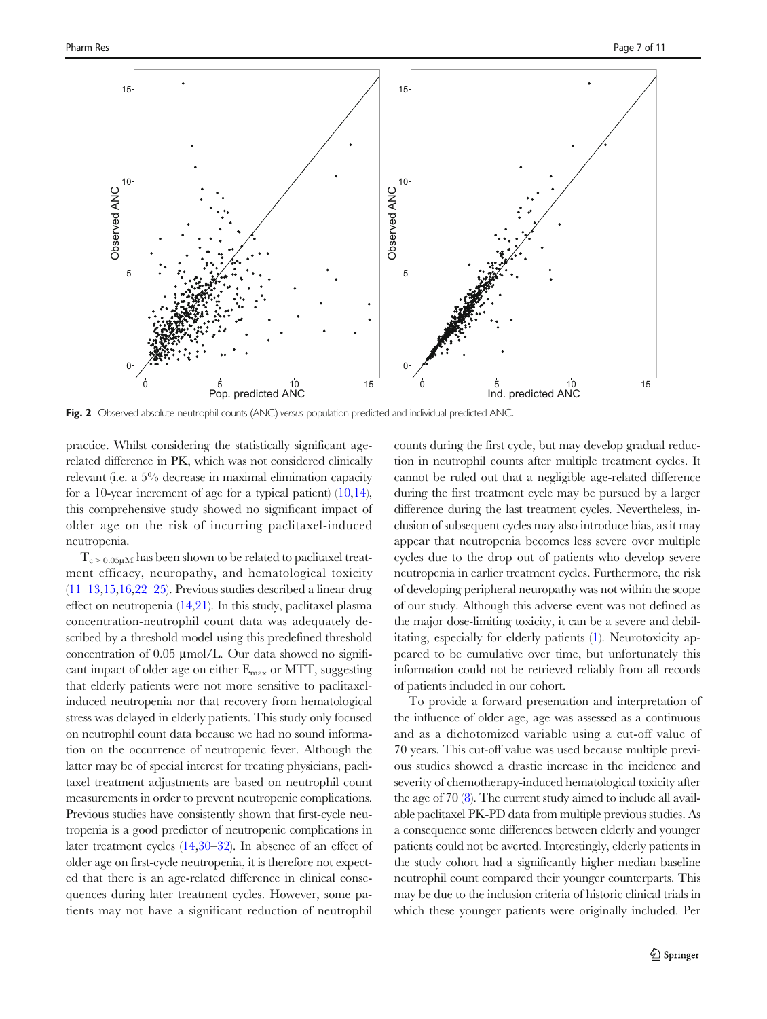<span id="page-6-0"></span>

Fig. 2 Observed absolute neutrophil counts (ANC) versus population predicted and individual predicted ANC.

practice. Whilst considering the statistically significant agerelated difference in PK, which was not considered clinically relevant (i.e. a 5% decrease in maximal elimination capacity for a 10-year increment of age for a typical patient) [\(10](#page-9-0),[14](#page-9-0)), this comprehensive study showed no significant impact of older age on the risk of incurring paclitaxel-induced neutropenia.

 $T_{c>0.05\mu\text{M}}$  has been shown to be related to paclitaxel treatment efficacy, neuropathy, and hematological toxicity  $(11–13,15,16,22–25)$  $(11–13,15,16,22–25)$  $(11–13,15,16,22–25)$  $(11–13,15,16,22–25)$  $(11–13,15,16,22–25)$  $(11–13,15,16,22–25)$  $(11–13,15,16,22–25)$ . Previous studies described a linear drug effect on neutropenia [\(14](#page-9-0),[21](#page-10-0)). In this study, paclitaxel plasma concentration-neutrophil count data was adequately described by a threshold model using this predefined threshold concentration of 0.05 μmol/L. Our data showed no significant impact of older age on either Emax or MTT, suggesting that elderly patients were not more sensitive to paclitaxelinduced neutropenia nor that recovery from hematological stress was delayed in elderly patients. This study only focused on neutrophil count data because we had no sound information on the occurrence of neutropenic fever. Although the latter may be of special interest for treating physicians, paclitaxel treatment adjustments are based on neutrophil count measurements in order to prevent neutropenic complications. Previous studies have consistently shown that first-cycle neutropenia is a good predictor of neutropenic complications in later treatment cycles ([14,](#page-9-0)[30](#page-10-0)–[32](#page-10-0)). In absence of an effect of older age on first-cycle neutropenia, it is therefore not expected that there is an age-related difference in clinical consequences during later treatment cycles. However, some patients may not have a significant reduction of neutrophil counts during the first cycle, but may develop gradual reduction in neutrophil counts after multiple treatment cycles. It cannot be ruled out that a negligible age-related difference during the first treatment cycle may be pursued by a larger difference during the last treatment cycles. Nevertheless, inclusion of subsequent cycles may also introduce bias, as it may appear that neutropenia becomes less severe over multiple cycles due to the drop out of patients who develop severe neutropenia in earlier treatment cycles. Furthermore, the risk of developing peripheral neuropathy was not within the scope of our study. Although this adverse event was not defined as the major dose-limiting toxicity, it can be a severe and debilitating, especially for elderly patients [\(1\)](#page-9-0). Neurotoxicity appeared to be cumulative over time, but unfortunately this information could not be retrieved reliably from all records of patients included in our cohort.

To provide a forward presentation and interpretation of the influence of older age, age was assessed as a continuous and as a dichotomized variable using a cut-off value of 70 years. This cut-off value was used because multiple previous studies showed a drastic increase in the incidence and severity of chemotherapy-induced hematological toxicity after the age of 70 ([8](#page-9-0)). The current study aimed to include all available paclitaxel PK-PD data from multiple previous studies. As a consequence some differences between elderly and younger patients could not be averted. Interestingly, elderly patients in the study cohort had a significantly higher median baseline neutrophil count compared their younger counterparts. This may be due to the inclusion criteria of historic clinical trials in which these younger patients were originally included. Per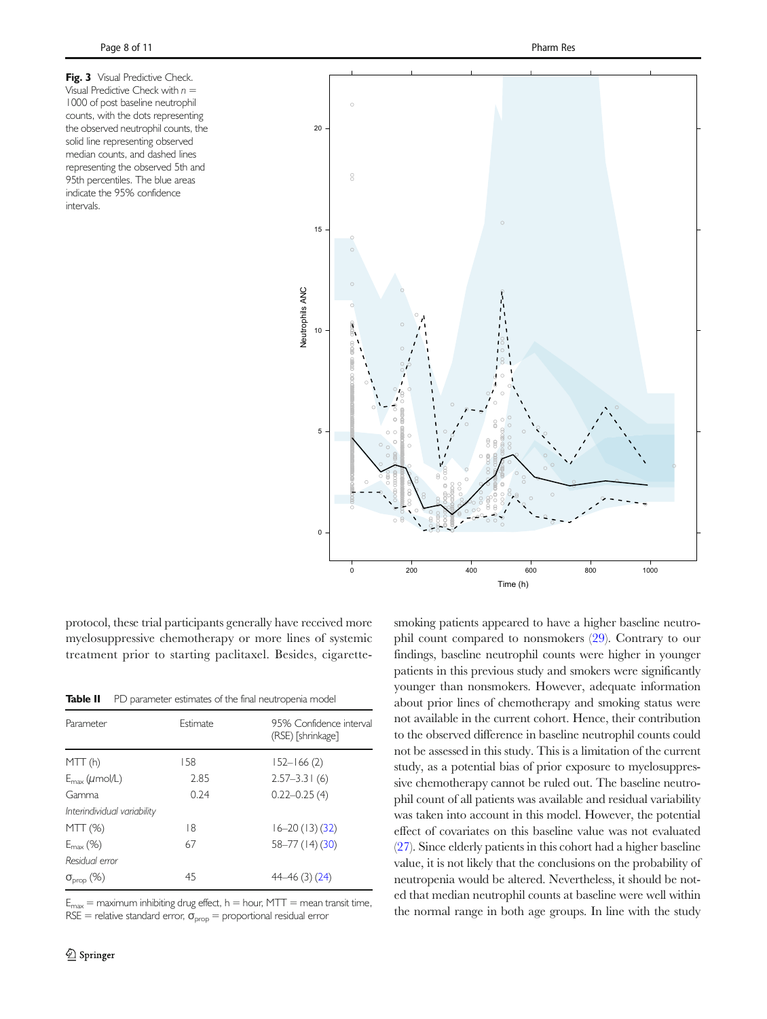Fig. 3 Visual Predictive Check. Visual Predictive Check with  $n =$ 1000 of post baseline neutrophil counts, with the dots representing the observed neutrophil counts, the solid line representing observed median counts, and dashed lines representing the observed 5th and 95th percentiles. The blue areas indicate the 95% confidence intervals.

<span id="page-7-0"></span>

protocol, these trial participants generally have received more myelosuppressive chemotherapy or more lines of systemic treatment prior to starting paclitaxel. Besides, cigarette-

**Table II** PD parameter estimates of the final neutropenia model

| Parameter                          | Fstimate | 95% Confidence interval<br>(RSE) [shrinkage] |
|------------------------------------|----------|----------------------------------------------|
| MTT(h)                             | 158      | $152 - 166(2)$                               |
| $E_{\text{max}}(\mu \text{mol/L})$ | 2.85     | $2.57 - 3.31(6)$                             |
| Gamma                              | 0.24     | $0.22 - 0.25(4)$                             |
| Interindividual variability        |          |                                              |
| $MTT$ (%)                          | 18       | $16 - 20(13)(32)$                            |
| $E_{\text{max}}$ (%)               | 67       | 58-77 (14) (30)                              |
| Residual error                     |          |                                              |
| $\sigma_{\text{prop}}(\%)$         | 45       | $44-46(3)(24)$                               |

 $E_{\text{max}}$  = maximum inhibiting drug effect, h = hour, MTT = mean transit time,  $RSE$  = relative standard error,  $\sigma_{\text{prop}}$  = proportional residual error

smoking patients appeared to have a higher baseline neutrophil count compared to nonsmokers ([29\)](#page-10-0). Contrary to our findings, baseline neutrophil counts were higher in younger patients in this previous study and smokers were significantly younger than nonsmokers. However, adequate information about prior lines of chemotherapy and smoking status were not available in the current cohort. Hence, their contribution to the observed difference in baseline neutrophil counts could not be assessed in this study. This is a limitation of the current study, as a potential bias of prior exposure to myelosuppressive chemotherapy cannot be ruled out. The baseline neutrophil count of all patients was available and residual variability was taken into account in this model. However, the potential effect of covariates on this baseline value was not evaluated [\(27](#page-10-0)). Since elderly patients in this cohort had a higher baseline value, it is not likely that the conclusions on the probability of neutropenia would be altered. Nevertheless, it should be noted that median neutrophil counts at baseline were well within the normal range in both age groups. In line with the study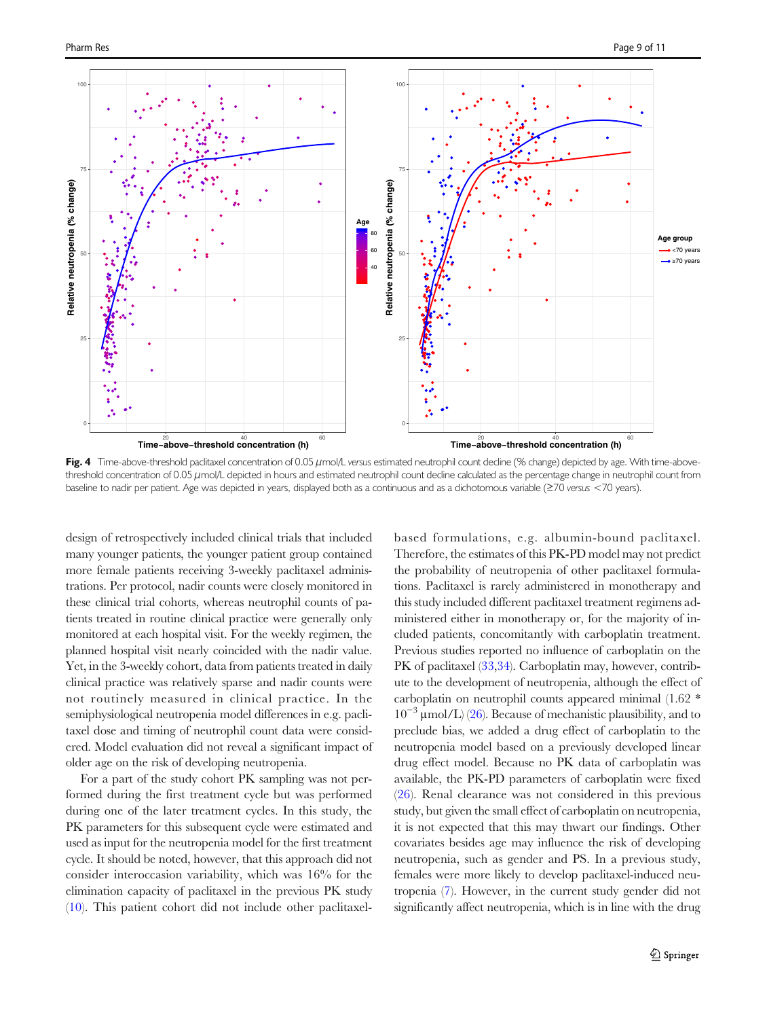<span id="page-8-0"></span>

Fig. 4 Time-above-threshold paditaxel concentration of 0.05  $\mu$ mol/L versus estimated neutrophil count decline (% change) depicted by age. With time-abovethreshold concentration of 0.05 μmol/L depicted in hours and estimated neutrophil count decline calculated as the percentage change in neutrophil count from baseline to nadir per patient. Age was depicted in years, displayed both as a continuous and as a dichotomous variable (≥70 versus <70 years).

design of retrospectively included clinical trials that included many younger patients, the younger patient group contained more female patients receiving 3-weekly paclitaxel administrations. Per protocol, nadir counts were closely monitored in these clinical trial cohorts, whereas neutrophil counts of patients treated in routine clinical practice were generally only monitored at each hospital visit. For the weekly regimen, the planned hospital visit nearly coincided with the nadir value. Yet, in the 3-weekly cohort, data from patients treated in daily clinical practice was relatively sparse and nadir counts were not routinely measured in clinical practice. In the semiphysiological neutropenia model differences in e.g. paclitaxel dose and timing of neutrophil count data were considered. Model evaluation did not reveal a significant impact of older age on the risk of developing neutropenia.

For a part of the study cohort PK sampling was not performed during the first treatment cycle but was performed during one of the later treatment cycles. In this study, the PK parameters for this subsequent cycle were estimated and used as input for the neutropenia model for the first treatment cycle. It should be noted, however, that this approach did not consider interoccasion variability, which was 16% for the elimination capacity of paclitaxel in the previous PK study [\(10](#page-9-0)). This patient cohort did not include other paclitaxelbased formulations, e.g. albumin-bound paclitaxel. Therefore, the estimates of this PK-PD model may not predict the probability of neutropenia of other paclitaxel formulations. Paclitaxel is rarely administered in monotherapy and this study included different paclitaxel treatment regimens administered either in monotherapy or, for the majority of included patients, concomitantly with carboplatin treatment. Previous studies reported no influence of carboplatin on the PK of paclitaxel [\(33,34\)](#page-10-0). Carboplatin may, however, contribute to the development of neutropenia, although the effect of carboplatin on neutrophil counts appeared minimal (1.62 \*  $10^{-3}$  µmol/L) ([26\)](#page-10-0). Because of mechanistic plausibility, and to preclude bias, we added a drug effect of carboplatin to the neutropenia model based on a previously developed linear drug effect model. Because no PK data of carboplatin was available, the PK-PD parameters of carboplatin were fixed ([26\)](#page-10-0). Renal clearance was not considered in this previous study, but given the small effect of carboplatin on neutropenia, it is not expected that this may thwart our findings. Other covariates besides age may influence the risk of developing neutropenia, such as gender and PS. In a previous study, females were more likely to develop paclitaxel-induced neutropenia [\(7\)](#page-9-0). However, in the current study gender did not significantly affect neutropenia, which is in line with the drug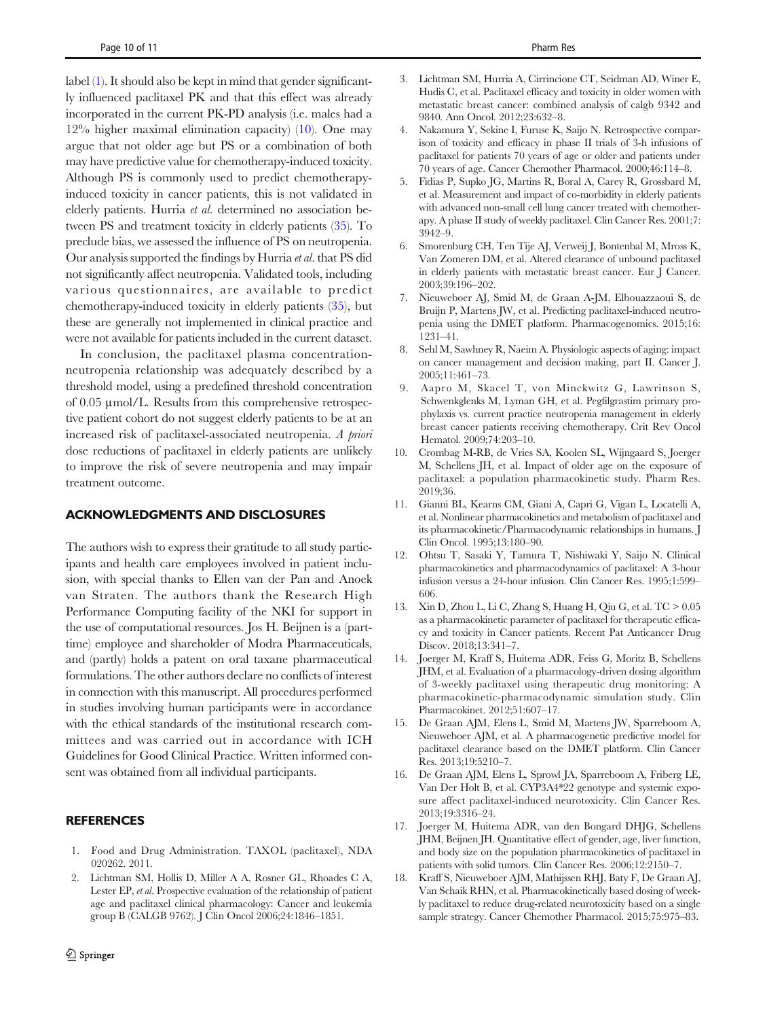<span id="page-9-0"></span>label (1). It should also be kept in mind that gender significantly influenced paclitaxel PK and that this effect was already incorporated in the current PK-PD analysis (i.e. males had a 12% higher maximal elimination capacity) (10). One may argue that not older age but PS or a combination of both may have predictive value for chemotherapy-induced toxicity. Although PS is commonly used to predict chemotherapyinduced toxicity in cancer patients, this is not validated in elderly patients. Hurria et al. determined no association between PS and treatment toxicity in elderly patients [\(35](#page-10-0)). To preclude bias, we assessed the influence of PS on neutropenia. Our analysis supported the findings by Hurria et al. that PS did not significantly affect neutropenia. Validated tools, including various questionnaires, are available to predict chemotherapy-induced toxicity in elderly patients [\(35](#page-10-0)), but these are generally not implemented in clinical practice and were not available for patients included in the current dataset.

In conclusion, the paclitaxel plasma concentrationneutropenia relationship was adequately described by a threshold model, using a predefined threshold concentration of 0.05 μmol/L. Results from this comprehensive retrospective patient cohort do not suggest elderly patients to be at an increased risk of paclitaxel-associated neutropenia. A priori dose reductions of paclitaxel in elderly patients are unlikely to improve the risk of severe neutropenia and may impair treatment outcome.

#### ACKNOWLEDGMENTS AND DISCLOSURES

The authors wish to express their gratitude to all study participants and health care employees involved in patient inclusion, with special thanks to Ellen van der Pan and Anoek van Straten. The authors thank the Research High Performance Computing facility of the NKI for support in the use of computational resources. Jos H. Beijnen is a (parttime) employee and shareholder of Modra Pharmaceuticals, and (partly) holds a patent on oral taxane pharmaceutical formulations. The other authors declare no conflicts of interest in connection with this manuscript. All procedures performed in studies involving human participants were in accordance with the ethical standards of the institutional research committees and was carried out in accordance with ICH Guidelines for Good Clinical Practice. Written informed consent was obtained from all individual participants.

#### **REFERENCES**

- 1. Food and Drug Administration. TAXOL (paclitaxel), NDA 020262. 2011.
- 2. Lichtman SM, Hollis D, Miller A A, Rosner GL, Rhoades C A, Lester EP, et al. Prospective evaluation of the relationship of patient age and paclitaxel clinical pharmacology: Cancer and leukemia group B (CALGB 9762). J Clin Oncol 2006;24:1846–1851.
- 3. Lichtman SM, Hurria A, Cirrincione CT, Seidman AD, Winer E, Hudis C, et al. Paclitaxel efficacy and toxicity in older women with metastatic breast cancer: combined analysis of calgb 9342 and 9840. Ann Oncol. 2012;23:632–8.
- 4. Nakamura Y, Sekine I, Furuse K, Saijo N. Retrospective comparison of toxicity and efficacy in phase II trials of 3-h infusions of paclitaxel for patients 70 years of age or older and patients under 70 years of age. Cancer Chemother Pharmacol. 2000;46:114–8.
- 5. Fidias P, Supko JG, Martins R, Boral A, Carey R, Grossbard M, et al. Measurement and impact of co-morbidity in elderly patients with advanced non-small cell lung cancer treated with chemotherapy. A phase II study of weekly paclitaxel. Clin Cancer Res. 2001;7: 3942–9.
- 6. Smorenburg CH, Ten Tije AJ, Verweij J, Bontenbal M, Mross K, Van Zomeren DM, et al. Altered clearance of unbound paclitaxel in elderly patients with metastatic breast cancer. Eur J Cancer. 2003;39:196–202.
- 7. Nieuweboer AJ, Smid M, de Graan A-JM, Elbouazzaoui S, de Bruijn P, Martens JW, et al. Predicting paclitaxel-induced neutropenia using the DMET platform. Pharmacogenomics. 2015;16: 1231–41.
- 8. Sehl M, Sawhney R, Naeim A. Physiologic aspects of aging: impact on cancer management and decision making, part II. Cancer J. 2005;11:461–73.
- 9. Aapro M, Skacel T, von Minckwitz G, Lawrinson S, Schwenkglenks M, Lyman GH, et al. Pegfilgrastim primary prophylaxis vs. current practice neutropenia management in elderly breast cancer patients receiving chemotherapy. Crit Rev Oncol Hematol. 2009;74:203–10.
- 10. Crombag M-RB, de Vries SA, Koolen SL, Wijngaard S, Joerger M, Schellens JH, et al. Impact of older age on the exposure of paclitaxel: a population pharmacokinetic study. Pharm Res. 2019;36.
- 11. Gianni BL, Kearns CM, Giani A, Capri G, Vigan L, Locatelli A, et al. Nonlinear pharmacokinetics and metabolism of paclitaxel and its pharmacokinetic/Pharmacodynamic relationships in humans. J Clin Oncol. 1995;13:180–90.
- 12. Ohtsu T, Sasaki Y, Tamura T, Nishiwaki Y, Saijo N. Clinical pharmacokinetics and pharmacodynamics of paclitaxel: A 3-hour infusion versus a 24-hour infusion. Clin Cancer Res. 1995;1:599– 606.
- 13. Xin D, Zhou L, Li C, Zhang S, Huang H, Qiu G, et al. TC > 0.05 as a pharmacokinetic parameter of paclitaxel for therapeutic efficacy and toxicity in Cancer patients. Recent Pat Anticancer Drug Discov. 2018;13:341–7.
- 14. Joerger M, Kraff S, Huitema ADR, Feiss G, Moritz B, Schellens JHM, et al. Evaluation of a pharmacology-driven dosing algorithm of 3-weekly paclitaxel using therapeutic drug monitoring: A pharmacokinetic-pharmacodynamic simulation study. Clin Pharmacokinet. 2012;51:607–17.
- 15. De Graan AJM, Elens L, Smid M, Martens JW, Sparreboom A, Nieuweboer AJM, et al. A pharmacogenetic predictive model for paclitaxel clearance based on the DMET platform. Clin Cancer Res. 2013;19:5210–7.
- 16. De Graan AJM, Elens L, Sprowl JA, Sparreboom A, Friberg LE, Van Der Holt B, et al. CYP3A4\*22 genotype and systemic exposure affect paclitaxel-induced neurotoxicity. Clin Cancer Res. 2013;19:3316–24.
- 17. Joerger M, Huitema ADR, van den Bongard DHJG, Schellens JHM, Beijnen JH. Quantitative effect of gender, age, liver function, and body size on the population pharmacokinetics of paclitaxel in patients with solid tumors. Clin Cancer Res. 2006;12:2150–7.
- 18. Kraff S, Nieuweboer AJM, Mathijssen RHJ, Baty F, De Graan AJ, Van Schaik RHN, et al. Pharmacokinetically based dosing of weekly paclitaxel to reduce drug-related neurotoxicity based on a single sample strategy. Cancer Chemother Pharmacol. 2015;75:975–83.